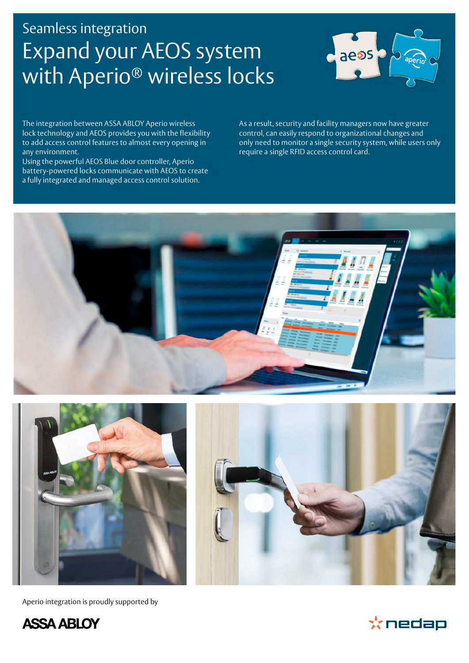# Seamless integration Expand your AEOS system with Aperio<sup>®</sup> wireless locks



The integration between ASSA ABLOY Aperio wireless lock technology and AEOS provides you with the flexibility to add access control features to almost every opening in any environment.

Using the powerful AEOS Blue door controller, Aperio battery-powered locks communicate with AEOS to create a fully integrated and managed access control solution.

As a result, security and facility managers now have greater control, can easily respond to organizational changes and only need to monitor a single security system, while users only require a single RFID access control card.





Aperio integration is proudly supported by